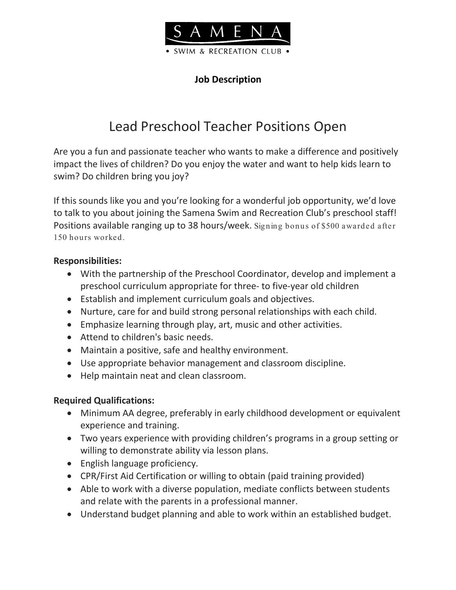

## **Job Description**

# Lead Preschool Teacher Positions Open

Are you a fun and passionate teacher who wants to make a difference and positively impact the lives of children? Do you enjoy the water and want to help kids learn to swim? Do children bring you joy?

If this sounds like you and you're looking for a wonderful job opportunity, we'd love to talk to you about joining the Samena Swim and Recreation Club's preschool staff! Positions available ranging up to 38 hours/week. Signing bonus of \$500 awarded after 150 hours worked.

## **Responsibilities:**

- With the partnership of the Preschool Coordinator, develop and implement a preschool curriculum appropriate for three- to five-year old children
- Establish and implement curriculum goals and objectives.
- Nurture, care for and build strong personal relationships with each child.
- Emphasize learning through play, art, music and other activities.
- Attend to children's basic needs.
- Maintain a positive, safe and healthy environment.
- Use appropriate behavior management and classroom discipline.
- Help maintain neat and clean classroom.

### **Required Qualifications:**

- Minimum AA degree, preferably in early childhood development or equivalent experience and training.
- Two years experience with providing children's programs in a group setting or willing to demonstrate ability via lesson plans.
- English language proficiency.
- CPR/First Aid Certification or willing to obtain (paid training provided)
- Able to work with a diverse population, mediate conflicts between students and relate with the parents in a professional manner.
- Understand budget planning and able to work within an established budget.